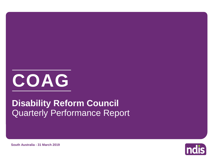

## Quarterly Performance Report **Disability Reform Council**

**ndis** 

**South Australia - 31 March 2019**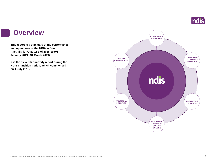

### **Overview**

**This report is a summary of the performance and operations of the NDIA in South Australia for Quarter 3 of 2018-19 (01 January 2019 - 31 March 2019).**

**It is the eleventh quarterly report during the NDIS Transition period, which commenced on 1 July 2016.** 

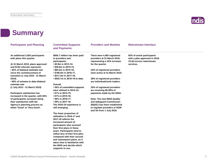

## **Summary**

| <b>Participants and Planning</b>                                                                   | <b>Committed Supports</b><br>and Payments                                                            | <b>Providers and Markets</b>                                                              | <b>Mainstream Interface</b>                                                            |  |
|----------------------------------------------------------------------------------------------------|------------------------------------------------------------------------------------------------------|-------------------------------------------------------------------------------------------|----------------------------------------------------------------------------------------|--|
| An additional 2,663 participants<br>with plans this quarter.                                       | \$850.7 million has been paid<br>to providers and<br>participants:                                   | There were 4,465 registered<br>providers at 31 March 2019,<br>representing a 22% increase | 92% of active participants<br>with a plan approved in 2018-<br>19 Q3 access mainstream |  |
| At 31 March 2019, plans approved<br>and ECEI referrals represent:                                  | • \$5.9m in 2013-14,<br>• \$30.9m in 2014-15,                                                        | for the quarter.                                                                          | services.                                                                              |  |
| • 92% of bilateral estimate met<br>since the commencement of<br>transition (1 July 2016 - 31 March | $\cdot$ \$65.2m in 2015-16,<br>• \$106.4m in 2016-17,<br>• \$217.2m in 2017-18,                      | 24% of registered providers<br>were active at 31 March 2019.                              |                                                                                        |  |
| 2019)<br>•90% of scheme to date bilateral<br>estimate met                                          | • \$425.1m in 2018-19 to date.<br>Overall,                                                           | 38% of registered providers<br>are individuals/sole traders.                              |                                                                                        |  |
| (1 July 2013 - 31 March 2019)                                                                      | • 54% of committed supports<br>were utilised in 2013-14,                                             | 25% of registered providers<br>are receiving 80-95% of                                    |                                                                                        |  |
| <b>Participant satisfaction has</b><br>increased in the quarter, with 82%                          | • 61% in 2014-15,<br>$\cdot$ 61% in 2015-16,                                                         | payments made by the NDIA.                                                                |                                                                                        |  |
| of participants surveyed rating<br>their satisfaction with the                                     | • 56% in 2016-17,<br>• 59% in 2017-18.                                                               | <b>Note: The new NDIS Quality</b><br>and Safeguard Commission                             |                                                                                        |  |
| Agency's planning process as<br>either 'Good' or 'Very Good'.                                      | The 2018-19 experience is<br>still emerging.                                                         | (NQSC) has been established<br>to regulate providers in NSW<br>and SA from 1 July 2018.   |                                                                                        |  |
|                                                                                                    | The lower proportion of<br>utilisation in 2016-17 and<br>2017-18 reflects the<br>increased amount of |                                                                                           |                                                                                        |  |
|                                                                                                    | participants who received<br>their first plans in these<br>years. Participants tend to               |                                                                                           |                                                                                        |  |
|                                                                                                    | utilise less of their first plan,<br>compared with their second<br>and subsequent plans, as it       |                                                                                           |                                                                                        |  |
|                                                                                                    | takes time to familiarise with<br>the NDIS and decide which<br>supports to use.                      |                                                                                           |                                                                                        |  |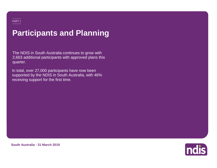## **Participants and Planning**

The NDIS in South Australia continues to grow with 2,663 additional participants with approved plans this quarter.

In total, over 27,000 participants have now been supported by the NDIS in South Australia, with 46% receiving support for the first time.



**South Australia - 31 March 2019**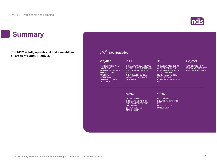## **Summary**

**The NDIS is fully operational and available in all areas of South Australia.**



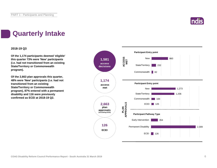

## **Quarterly Intake**

### **2018-19 Q3**

**Of the 1,174 participants deemed 'eligible' this quarter 73% were 'New' participants (i.e. had not transitioned from an existing State/Territory or Commonwealth program).**

**Of the 2,663 plan approvals this quarter, 48% were 'New' participants (i.e. had not transitioned from an existing State/Territory or Commonwealth program), 87% entered with a permanent disability and 116 were previously confirmed as ECEI at 2018-19 Q2.**

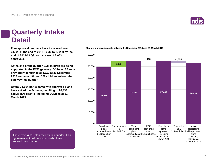## **Quarterly Intake Detail**

**24,626 at the end of 2018-19 Q2 to 27,289 by the end of 2018-19 Q3, an increase of 2,663 approvals.**

**At the end of the quarter, 198 children are being supported in the ECEI gateway. Of these, 72 were previously confirmed as ECEI at 31 December 2018 and an additional 126 children entered the gateway this quarter.**

**Overall, 1,054 participants with approved plans have exited the Scheme, resulting in 26,433 active participants (including ECEI) as at 31 March 2019.**

There were 4,992 plan reviews this quarter. This

figure relates to all participants who have

entered the scheme.

**Plan approval numbers have increased from Change in plan approvals between 31 December 2018 and 31 March 2019**



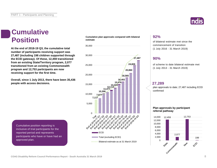## **Cumulative Position**

**At the end of 2018-19 Q3, the cumulative total number of participants receiving support was 27,487 (including 198 children supported through the ECEI gateway). Of these, 12,459 transitioned from an existing State/Territory program, 2,077 transitioned from an existing Commonwealth program and 12,753 participants are now receiving support for the first time.**

**Overall, since 1 July 2013, there have been 35,436 people with access decisions.**





### **92%**

of bilateral estimate met since the commencement of transition (1 July 2016 - 31 March 2019)

### **90%**

of scheme to date bilateral estimate met (1 July 2013 - 31 March 2019)

### **27,289**

plan approvals to date; 27,487 including ECEI confirmed

### **Plan approvals by participant referral pathway**



Cumulative position reporting is inclusive of trial participants for the reported period and represents participants who have or have had an approved plan.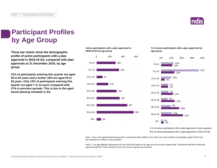

## **Participant Profiles by Age Group**

**These bar charts show the demographic profile of active participants with a plan approved in 2018-19 Q3, compared with plan approvals at 31 December 2018, by age group.**

**21% of participants entering this quarter are aged 55 to 64 years and a further 18% are aged 45 to 54 years. Only 13% of participants entering this quarter are aged 7 to 14 years compared with 37% in previous periods. This is due to the aged based phasing schedule in SA.**

**Active participants with a plan approved in 2018-19 Q3 by age group**



### **% of active participants with a plan approved by age group**



■% of active participants with a plan approved in prior quarters ■% of active participants with a plan approved in 2018-19 Q3

Note 1: Due to the aged based phasing which commenced with children in SA, there are a low number of participants aged 19 and over who entered the Scheme in prior quarters.

Note 2: The age eligibility requirements for the NDIS are based on the age as at the access request date. Participants with their initial plan approved aged 65+ have turned 65 since their access request was received.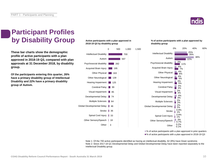

38%

25%

0% 20% 40% 60%

26% 22%

## **Participant Profiles by Disability Group**

**These bar charts show the demographic profile of active participants with a plan approved in 2018-19 Q3, compared with plan approvals at 31 December 2018, by disability group.**

**Of the participants entering this quarter, 26% have a primary disability group of Intellectual Disability and 22% have a primary disability group of Autism.**

### **Active participants with a plan approved in 2018-19 Q3 by disability group**



### **% of active participants with a plan approved by disability group**

Intellectual Disability

Autism

3%



■ % of active participants with a plan approved in prior quarters ■% of active participants with a plan approved in 2018-19 Q3

Note 1: Of the 700 active participants identified as having an intellectual disability, 62 (9%) have Down syndrome. Note 2: Since 2017-18 Q1 Developmental Delay and Global Developmental Delay have been reported separately to the Intellectual Disability group.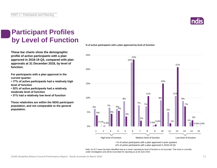

### **Participant Profiles by Level of Function**

**These bar charts show the demographic profile of active participants with a plan approved in 2018-19 Q3, compared with plan approvals at 31 December 2018, by level of function.**

**For participants with a plan approval in the current quarter:** 

**• 17% of active participants had a relatively high level of function**

**• 52% of active participants had a relatively moderate level of function** 

**• 31% had a relatively low level of function**

**These relativities are within the NDIS participant population, and not comparable to the general population.**

**% of active participants with a plan approved by level of function**



■% of active participants with a plan approved in 2018-19 Q3

Note: An ICT issue has been identified and as a result, reporting by level of function is not accurate. This issue is currently under investigation and will be reconciled for reporting as at 30 June 2019.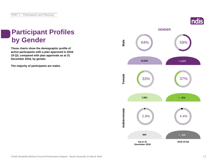### **ndis**

# **Participant Profiles**

**These charts show the demographic profile of active participants with a plan approved in 2018- 19 Q3, compared with plan approvals as at 31 December 2018, by gender.**

**The majority of participants are males.**

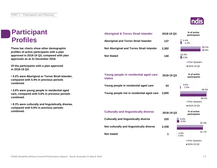### **Participant Profiles**

**These bar charts show other demographic profiles of active participants with a plan approved in 2018-19 Q3, compared with plan approvals as at 31 December 2018.**

**Of the participants with a plan approved in 2018-19 Q3:**

**• 5.2% were Aboriginal or Torres Strait Islander, compared with 4.4% in previous periods combined.**

**• 2.0% were young people in residential aged care, compared with 0.6% in previous periods combined.**

**• 8.3% were culturally and linguistically diverse, compared with 6.6% in previous periods combined.**

| <b>Aboriginal &amp; Torres Strait Islander</b>         | 2018-19 Q3 |                             | % of active<br>participants |  |
|--------------------------------------------------------|------------|-----------------------------|-----------------------------|--|
| <b>Aboriginal and Torres Strait Islander</b>           | 137        | 4.4%<br>5.2%                |                             |  |
| Not Aboriginal and Torres Strait Islander              | 2,382      |                             | 90.2%<br>89.6%              |  |
| <b>Not Stated</b>                                      | 140        | 5.4%<br>5.3%                |                             |  |
|                                                        |            |                             | <b>Prior Quarters</b>       |  |
|                                                        |            |                             | ■2018-19 Q3                 |  |
|                                                        |            |                             |                             |  |
| Young people in residential aged care<br><b>status</b> | 2018-19 Q3 | % of active<br>participants |                             |  |
| Young people in residential aged care                  | 54         | 0.6%<br>2.0%                | 99.4%                       |  |
| Young people not in residential aged care              | 2,605      |                             |                             |  |
|                                                        |            |                             | 98.0%                       |  |
|                                                        |            | Prior Quarters              |                             |  |
|                                                        |            |                             | ■2018-19 Q3                 |  |
| <b>Culturally and linguistically diverse</b>           | 2018-19 Q3 |                             | % of active<br>participants |  |
| <b>Culturally and linguistically diverse</b>           | 220        | 6.6%<br>8.3%                | 92.5%                       |  |
| Not culturally and linguistically diverse              | 2,438      |                             |                             |  |
| <b>Not stated</b>                                      | 1          | 0.9%<br>0.0%                | 91.7%                       |  |
|                                                        |            | ■ Prior Quarters            |                             |  |

■2018-19 Q3

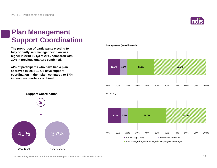

### **Plan Management Support Coordination**

**The proportion of participants electing to fully or partly self-manage their plan was higher in 2018-19 Q3 at 21%, compared with 20% in previous quarters combined.**

**41% of participants who have had a plan approved in 2018-19 Q3 have support coordination in their plan, compared to 37% in previous quarters combined.**

**Prior quarters (transition only)**





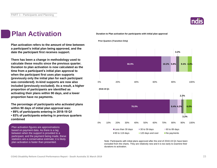

### **Plan Activation**

**Plan activation refers to the amount of time between a participant's initial plan being approved, and the date the participant first receives support.**

**There has been a change in methodology used to calculate these results since the previous quarter. Duration to plan activation is now calculated as the time from a participant's initial plan approval to when the participant first uses plan supports (previously only the initial plan for each participant was considered). In-kind supports are now also included (previously excluded). As a result, a higher proportion of participants are identified as activating their plans within 90 days, and a lower proportion have no payments.**

**The percentage of participants who activated plans within 90 days of initial plan approval was:** 

**• 89% of participants entering in 2018-19 Q1**

**• 83% of participants entering in previous quarters combined**

Plan activation figures are approximations based on payment data. As there is a lag between when the support is provided to a participant, and the payment being made, these statistics are a conservative estimate; it is likely plan activation is faster than presented.

**Duration to Plan activation for participants with initial plan approval**



Note: Participants with initial plans approved after the end of 2018-19 Q1 have been excluded from the charts. They are relatively new and it is too early to examine their durations to activation.

**Prior Quarters (Transition Only)**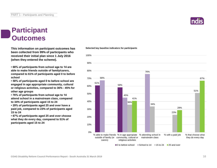### **Participant Outcomes**

**This information on participant outcomes has been collected from 99% of participants who received their initial plan since 1 July 2016 (when they entered the scheme).**

**• 68% of participants from school age to 14 are able to make friends outside of family/carers, compared to 61% of participants aged 0 to before school**

**• 58% of participants aged 0 to before school are engaged in age appropriate community, cultural or religious activities, compared to 36% - 45% for other age groups**

**• 76% of participants from school age to 14 attend school in a mainstream class, compared to 34% of participants aged 15 to 24**

**• 29% of participants aged 25 and over have a paid job, compared to 23% of participants aged 15 to 24**

**• 67% of participants aged 25 and over choose what they do every day, compared to 51% of participants aged 15 to 24**

### **Selected key baseline indicators for participants**



 $\Box$  0 to before school  $\Box$  School to 14  $\Box$  15 to 24  $\Box$  25 and over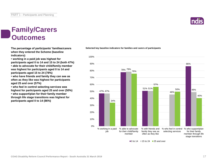### **Family/Carers Outcomes**

**The percentage of participants' families/carers when they entered the Scheme (baseline indicators):**

**• working in a paid job was highest for participants aged 0 to 14 and 15 to 24 (both 47%) • able to advocate for their child/family member was highest for participants aged 0 to 14 and participants aged 15 to 24 (78%)**

**• who have friends and family they can see as often as they like was highest for participants aged 25 and over (57%)**

**• who feel in control selecting services was highest for participants aged 25 and over (50%) • who support/plan for their family member through life stage transitions was highest for participants aged 0 to 14 (86%)**

**Selected key baseline indicators for families and carers of participants**



 $\blacksquare$ 0 to 14  $\blacksquare$  15 to 24  $\blacksquare$  25 and over

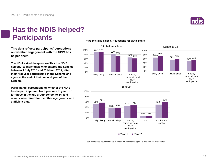

### **Has the NDIS helped? Participants**

**This data reflects participants' perceptions on whether engagement with the NDIS has helped them.**

**The NDIA asked the question 'Has the NDIS helped?' to individuals who entered the Scheme between 1 July 2016 and 31 March 2017, after their first year participating in the Scheme and again at the end of their second year of the Scheme.**

**Participants' perceptions of whether the NDIS has helped improved from year one to year two for those in the age group School to 14, and results were mixed for the other age groups with sufficient data.**

### **"Has the NDIS helped?" questions for participants**





Note: There was insufficient data to report for participants aged 25 and over for this quarter.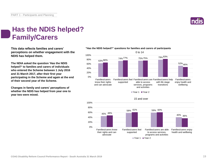

### **Has the NDIS helped? Family/Carers**

**This data reflects families and carers' perceptions on whether engagement with the NDIS has helped them.**

**The NDIA asked the question 'Has the NDIS helped?' to families and carers of individuals who entered the Scheme between 1 July 2016 and 31 March 2017, after their first year participating in the Scheme and again at the end of their second year of the Scheme.**

**Changes in family and carers' perceptions of whether the NDIS has helped from year one to year two were mixed.**

### **"Has the NDIS helped?" questions for families and carers of participants**



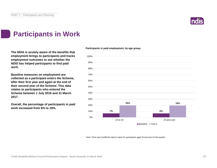

### **Participants in Work**

**The NDIA is acutely aware of the benefits that employment brings to participants and tracks employment outcomes to see whether the NDIS has helped participants to find paid work.**

**Baseline measures on employment are collected as a participant enters the Scheme, after their first year and again at the end of their second year of the Scheme. This data relates to participants who entered the Scheme between 1 July 2016 and 31 March 2017.**

**Overall, the percentage of participants in paid work increased from 6% to 19%.**

**Participants in paid employment, by age group.**



Note: There was insufficient data to report for participants aged 25 and over for this quarter.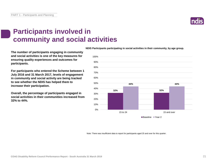**COAG Disability Reform Council Performance Report - South Australia 31 March 2019** 21

### **Participants involved in community and social activities**

**The number of participants engaging in community and social activities is one of the key measures for ensuring quality experiences and outcomes for participants.**

**For participants who entered the Scheme between 1 July 2016 and 31 March 2017, levels of engagement in community and social activity are being tracked to see whether the NDIS has helped them to increase their participation.**

**Overall, the percentage of participants engaged in social activities in their communities increased from 32% to 44%.**

**NDIS Participants participating in social activities in their community, by age group.**



Note: There was insufficient data to report for participants aged 25 and over for this quarter.



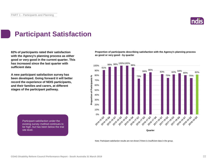

## **Participant Satisfaction**

**82% of participants rated their satisfaction with the Agency's planning process as either good or very good in the current quarter. This has increased since the last quarter with sufficient data**

**A new participant satisfaction survey has been developed. Going forward it will better record the experience of NDIS participants, and their families and carers, at different stages of the participant pathway.**

**Proportion of participants describing satisfaction with the Agency's planning process as good or very good - by quarter**



Note: Participant satisfaction results are not shown if there is insufficient data in the group.

Participant satisfaction under the existing survey method continues to be high, but has been below the trial site level. The NDIS process and what is a site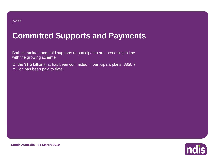## **Committed Supports and Payments**

Both committed and paid supports to participants are increasing in line with the growing scheme.

Of the \$1.5 billion that has been committed in participant plans, \$850.7 million has been paid to date.



**South Australia - 31 March 2019**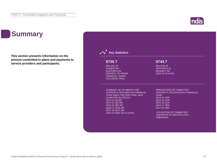## **Summary**

**This section presents information on the amount committed in plans and payments to service providers and participants.**

### **Key Statistics** SUMMARY OF PAYMENTS FOR SUPPORTS PROVIDED BY FINANCIAL YEAR SINCE THE NDIS TRIAL WAS LAUNCHED IN 2013-14: 2013-14: \$5.9M 2014-15: \$30.9M 2015-16: \$65.2M 2016-17: \$106.4M 2017-18: \$217.2M 2018-19: \$425.1M TO DATE. PERCENTAGE OF COMMITTED SUPPORTS UTILISATION BY FINANCIAL YEAR: 2013-14: 54% 2014-15: 61% 2015-16: 61% 2016-17: 56% 2017-18: 59% UTILISATION OF COMMITTED SUPPORTS IN 2018-19 IS STILL EMERGING. MILLION OF **COMMITTED** SUPPORTS IN RESPECT OF PRIOR FINANCIAL YEARS INCLUDING TRIAL **\$726.7** MILLION OF SUPPORTS IN RESPECT OF 2018-19 TO DATE **\$744.7**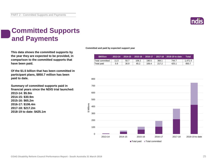

## **Committed Supports and Payments**

**This data shows the committed supports by the year they are expected to be provided, in comparison to the committed supports that have been paid.**

**Of the \$1.5 billion that has been committed in participant plans, \$850.7 million has been paid to date.**

**Summary of committed supports paid in financial years since the NDIS trial launched: 2013-14: \$5.9m 2014-15: \$30.9m 2015-16: \$65.2m 2016-17: \$106.4m 2017-18: \$217.2m 2018-19 to date: \$425.1m**

**Committed and paid by expected support year**

| <b>SMillion</b> | 2013-14 | $2014 - 15$ |       |       |       | $\mid$ 2015-16 $\mid$ 2016-17 $\mid$ 2017-18 $\mid$ 2018-19 to date | Total   |
|-----------------|---------|-------------|-------|-------|-------|---------------------------------------------------------------------|---------|
| Total committed | 11.0    | 50.7        | 106.2 | 190.5 | 368.1 | 744.7                                                               | 1.471.4 |
| Total paid      | 5.9     | 30.9        | 65.2  | 106.4 | 217.2 | 425.1                                                               | 850.7   |

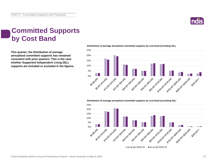

## **Committed Supports by Cost Band**

**This quarter, the distribution of average annualised committed supports has remained consistent with prior quarters. This is the case whether Supported Independent Living (SIL) supports are included or excluded in the figures.**



**Distribution of average annualised committed supports by cost band (including SIL)** 

**Distribution of average annualised committed supports by cost band (excluding SIL)** 

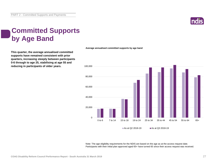

## **Committed Supports by Age Band**

**This quarter, the average annualised committed supports have remained consistent with prior quarters, increasing steeply between participants 0-6 through to age 25, stabilising at age 55 and reducing in participants of older years.**



Note: The age eligibility requirements for the NDIS are based on the age as at the access request date. Participants with their initial plan approved aged 65+ have turned 65 since their access request was received.

### **Average annualised committed supports by age band**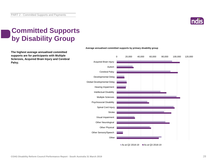

## **Committed Supports by Disability Group**

**The highest average annualised committed supports are for participants with Multiple Sclerosis, Acquired Brain Injury and Cerebral Palsy.**



### **Average annualised committed supports by primary disability group**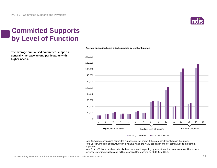

## **Committed Supports by Level of Function**

**The average annualised committed supports generally increase among participants with higher needs.**

### **Average annualised committed supports by level of function**



### As at Q2 2018-19  $\blacksquare$  As at Q3 2018-19

Note 1: Average annualised committed supports are not shown if there are insufficient data in the group. Note 2: High, medium and low function is relative within the NDIS population and not comparable to the general population.

Note 3: An ICT issue has been identified and as a result, reporting by level of function is not accurate. This issue is currently under investigation and will be reconciled for reporting as at 30 June 2019.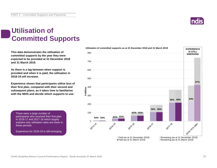

## **Utilisation of Committed Supports**

**This data demonstrates the utilisation of committed supports by the year they were expected to be provided at 31 December 2018 and 31 March 2019.** 

**As there is a lag between when support is provided and when it is paid, the utilisation in 2018-19 will increase.**

**Experience shows that participants utilise less of their first plan, compared with their second and subsequent plans, as it takes time to familiarise with the NDIS and decide which supports to use.** 

There were a large number of participants who received their first plan in 2016-17 and 2017-18 which largely explains why utilisation rates are lower in these periods.

Experience for 2018-19 is still emerging.

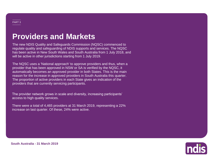## **Providers and Markets**

The new NDIS Quality and Safeguards Commission (NQSC) commenced to regulate quality and safeguarding of NDIS supports and services. The NQSC has been active in New South Wales and South Australia from 1 July 2018, and will be active in other jurisdictions starting from 1 July 2019.

The NQSC uses a 'National approach' to approve providers and thus, when a provider that has been approved in NSW or SA is verified by the NQSC, it automatically becomes an approved provider in both States. This is the main reason for the increase in approved providers in South Australia this quarter. The proportion of active providers in each State gives an indication of the providers that are currently servicing participants.

The provider network grows in scale and diversity, increasing participants' access to high quality services.

There were a total of 4,465 providers at 31 March 2019, representing a 22% increase on last quarter. Of these, 24% were active.



**South Australia - 31 March 2019**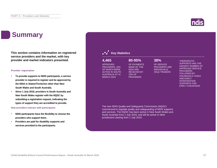## **Summary**

**This section contains information on registered service providers and the market, with key provider and market indicators presented.**

### **Provider registration**

- **To provide supports to NDIS participants, a service provider is required to register and be approved by the NDIA in States/Territories other than New South Wales and South Australia.**
- **Since 1 July 2018, providers in South Australia and New South Wales register with the NQSC by submitting a registration request, indicating the types of support they are accredited to provide.**

**How providers interact with participants**

- **NDIS participants have the flexibility to choose the providers who support them.**
- **Providers are paid for disability supports and services provided to the participants.**



### **Key Statistics**

### **4,465 80-95% 38%**

APPROVED PROVIDERS, 24% OF WHICH WERE ACTIVE IN SOUTH AUSTRALIA AT 31 MARCH 2019

SOLE TRADERS

OF SERVICE PROVIDERS ARE INDIVIDUALS/

THERAPEUTIC

SUPPORTS HAS THE HIGHEST NUMBER OF APPROVED SERVICE PROVIDERS, FOLLOWED BY HOUSEHOLD TASKS AND EARLY INTERVENTION SUPPORTS FOR EARLY CHILDHOOD

The new NDIS Quality and Safeguards Commission (NQSC) commenced to regulate quality and safeguarding of NDIS supports and services. The NQSC has been active in New South Wales and South Australia from 1 July 2018, and will be active in other jurisdictions starting from 1 July 2019.

OF PAYMENTS MADE BY THE NDIA ARE RECEIVED BY 25% OF **PROVIDERS**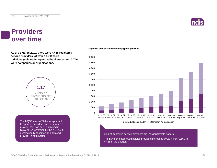### **Providers over time**

**As at 31 March 2019, there were 4,465 registered service providers, of which 1,719 were individual/sole trader operated businesses and 2,746 were companies or organisations.**



The NQSC uses a 'National approach' to approve providers and thus, when a provider that has been approved in NSW or SA is verified by the NQSC, it automatically becomes an approved provider in both States.





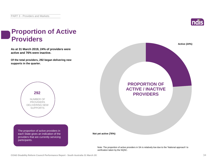

### **Proportion of Active Providers**

**As at 31 March 2019, 24% of providers were active and 76% were inactive.**

**Of the total providers, 292 began delivering new supports in the quarter.**



The proportion of active providers in each State gives an indication of the providers that are currently servicing participants.



Note: The proportion of active providers in SA is relatively low due to the 'National approach' to verification taken by the NQSC.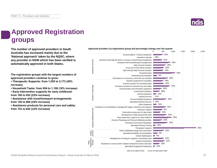

## **Approved Registration groups**

**The number of approved providers in South Approved providers by registration group and percentage change over the quarter**<br> **Approved providers by registration group and percentage change over the quarter**  $\frac{600}{500}$ **Australia has increased mainly due to the 'National approach' taken by the NQSC, where any provider in NSW which has been verified is automatically approved in both States.**

**The registration groups with the largest numbers of approved providers continue to grow:**

**• Therapeutic Supports: from 1,555 to 2,173 (40% increase)**

**• Household Tasks: from 954 to 1,108 (16% increase)**

**• Early Intervention supports for early childhood: from 760 to 932 (23% increase)**

**• Assistance with travel/transport arrangements: from 745 to 866 (16% increase)**

**• Assistance products for personal care and safety: from 751 to 842 (12% increase)**



As at 31 March 2019 As at 31 December 2018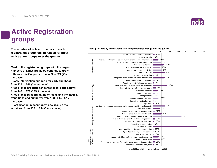## **Active Registration groups**

**The number of active providers in each registration group has increased for most registration groups over the quarter.**

**Most of the registration groups with the largest numbers of active providers continue to grow:**

**• Therapeutic Supports: from 489 to 524 (7% increase)**

**• Early Intervention supports for early childhood: from 336 to 346 (3% increase)**

**• Assistance products for personal care and safety: from 146 to 170 (16% increase)**

**• Assistance in coordinating or managing life stages, transitions and supports: from 138 to 146 (6% increase)**

**• Participation in community, social and civic activities: from 135 to 144 (7% increase)**

0 100 200 300 400 500 600  $-14%$ Accommodation / Tenancy Assistance 0% Assistance Animals Assistance with daily life tasks in a group or shared living arrangement 21% stance services Assistance services  $4%$ Assistance with travel/transport arrangements 10% Daily Personal Activities 13% Group and Centre Based Activities 2% High Intensity Daily Personal Activities 8% Household tasks Interpreting and translation **22%** 7% Participation in community, social and civic activities  $\blacksquare$  4% Assistive equipment for recreation 8% Assistive products for household tasks **COL** Assistive Technology Assistive Technology 16% Assistance products for personal care and safety 3% Communication and information equipment  $-22%$ Customised Prosthetics Hearing Equipment 15% 0% Hearing Services 22% Personal Mobility Equipment Specialised Hearing Services | 0%  $14%$ Vision Equipment 6% Assistance in coordinating or managing life stages, transitions and supports Services Capacity Building Services 4% Behaviour Support  $\blacksquare$  12% Community nursing care for high needs Development of daily living and life skills 8% Capacity Building 3% Early Intervention supports for early childhood Exercise Physiology and Physical Wellbeing activities **17%**  $-27%$ Innovative Community Participation 0% Specialised Driving Training 7% Therapeutic Supports Home modification design and construction | 33% Capital services 67% Specialised Disability Accommodation 0% Vehicle Modifications  $\equiv$ 14% Management of funding for supports in participants plan Registration Groups 11% Support Coordination Other  $-19%$ Assistance to access and/or maintain employment and/or education Specialised Supported Employment | 9%

**Active providers by registration group and percentage change over the quarter**

As at 31 March 2019 As at 31 December 2018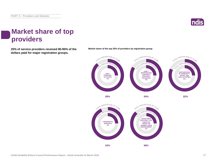

### **Market share of top providers**

**25% of service providers received 80-95% of the Market share of the top 25% of providers by registration group. dollars paid for major registration groups.**



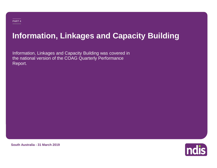## **Information, Linkages and Capacity Building**

Information, Linkages and Capacity Building was covered in the national version of the COAG Quarterly Performance Report.



**South Australia - 31 March 2019**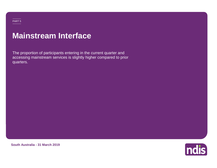## **Mainstream Interface**

The proportion of participants entering in the current quarter and accessing mainstream services is slightly higher compared to prior quarters.

ndis

**South Australia - 31 March 2019**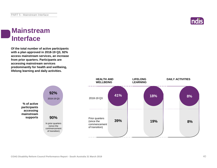

### **Mainstream Interface**

**Of the total number of active participants with a plan approved in 2018-19 Q3, 92% access mainstream services, an increase from prior quarters. Participants are accessing mainstream services predominantly for health and wellbeing, lifelong learning and daily activities.**